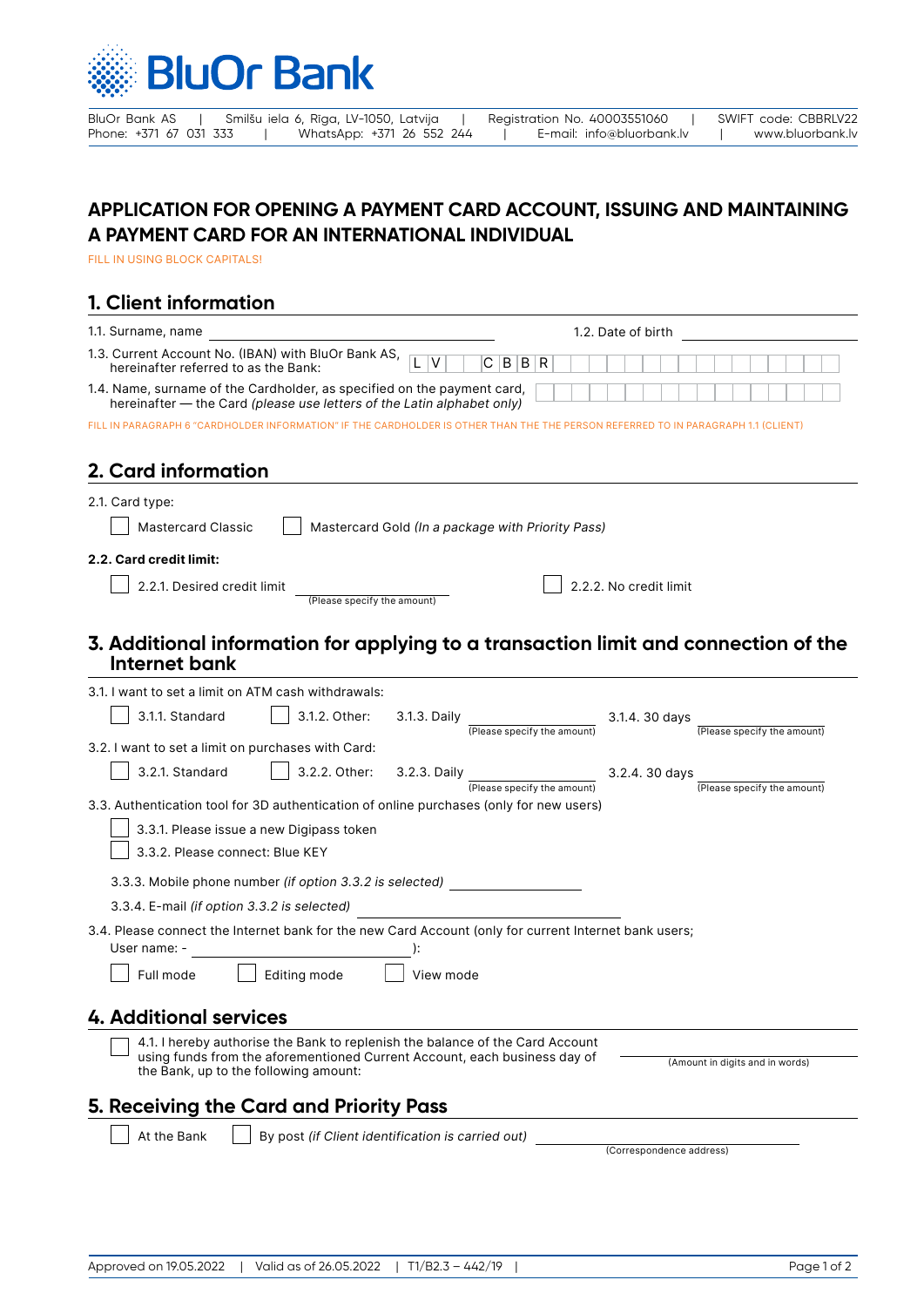

BluOr Bank AS | Smilšu iela 6, Rīga, LV-1050, Latvija | Registration No. 40003551060 | SWIFT code: CBBRLV22<br>Phone: +371 67 031 333 | WhatsApp: +371 26 552 244 | E-mail: info@bluorbank.lv | www.bluorbank.lv Phone: +371 26 552 244 | E-mail: info@bluorbank.lv | www.bluorbank.lv

## **APPLICATION FOR OPENING A PAYMENT CARD ACCOUNT, ISSUING AND MAINTAINING A PAYMENT CARD FOR AN INTERNATIONAL INDIVIDUAL**

FILL IN USING BLOCK CAPITALS!

## **1. Client information**

| 1.3. Current Account No. (IBAN) with BluOr Bank AS,<br> C B B <br>R<br>hereinafter referred to as the Bank:<br>1.4. Name, surname of the Cardholder, as specified on the payment card, | 1.2. Date of birth |  |
|----------------------------------------------------------------------------------------------------------------------------------------------------------------------------------------|--------------------|--|
|                                                                                                                                                                                        |                    |  |
| hereinafter – the Card (please use letters of the Latin alphabet only)                                                                                                                 |                    |  |
| FILL IN PARAGRAPH 6 "CARDHOLDER INFORMATION" IF THE CARDHOLDER IS OTHER THAN THE THE PERSON REFERRED TO IN PARAGRAPH 1.1 (CLIENT)                                                      |                    |  |

## **2. Card information**

| 2.1. Card type:<br>Mastercard Gold (In a package with Priority Pass)<br><b>Mastercard Classic</b>                                                                                                                                                                                 |                                                |  |  |  |  |
|-----------------------------------------------------------------------------------------------------------------------------------------------------------------------------------------------------------------------------------------------------------------------------------|------------------------------------------------|--|--|--|--|
| 2.2. Card credit limit:                                                                                                                                                                                                                                                           |                                                |  |  |  |  |
| 2.2.1. Desired credit limit<br>(Please specify the amount)                                                                                                                                                                                                                        | 2.2.2. No credit limit                         |  |  |  |  |
| 3. Additional information for applying to a transaction limit and connection of the<br>Internet bank                                                                                                                                                                              |                                                |  |  |  |  |
| 3.1. I want to set a limit on ATM cash withdrawals:                                                                                                                                                                                                                               |                                                |  |  |  |  |
| 3.1.1. Standard<br>3.1.2. Other:<br>3.1.3. Daily<br>(Please specify the amount)                                                                                                                                                                                                   | 3.1.4. 30 days<br>(Please specify the amount)  |  |  |  |  |
| 3.2. I want to set a limit on purchases with Card:                                                                                                                                                                                                                                |                                                |  |  |  |  |
| 3.2.1. Standard<br>3.2.2. Other:<br>3.2.3. Daily<br>(Please specify the amount)                                                                                                                                                                                                   | $3.2.4.30$ days<br>(Please specify the amount) |  |  |  |  |
| 3.3. Authentication tool for 3D authentication of online purchases (only for new users)<br>3.3.1. Please issue a new Digipass token<br>3.3.2. Please connect: Blue KEY<br>3.3.3. Mobile phone number (if option 3.3.2 is selected)<br>3.3.4. E-mail (if option 3.3.2 is selected) |                                                |  |  |  |  |
| 3.4. Please connect the Internet bank for the new Card Account (only for current Internet bank users;<br>User name: -                                                                                                                                                             |                                                |  |  |  |  |
| Full mode<br>Editing mode<br>View mode                                                                                                                                                                                                                                            |                                                |  |  |  |  |
| <b>4. Additional services</b>                                                                                                                                                                                                                                                     |                                                |  |  |  |  |
| 4.1. I hereby authorise the Bank to replenish the balance of the Card Account<br>using funds from the aforementioned Current Account, each business day of<br>(Amount in digits and in words)<br>the Bank, up to the following amount:                                            |                                                |  |  |  |  |
| 5. Receiving the Card and Priority Pass                                                                                                                                                                                                                                           |                                                |  |  |  |  |
| At the Bank<br>By post (if Client identification is carried out)                                                                                                                                                                                                                  | (Correspondence address)                       |  |  |  |  |